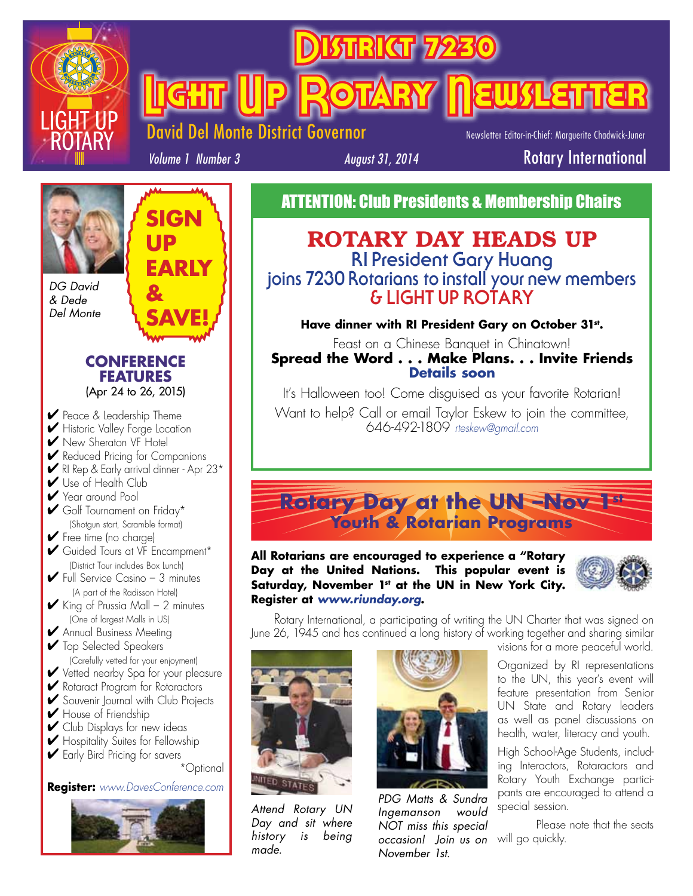

<u>Rikar</u>

**Light (Up Rotary Newsletter** 

Del Monte District Governor

Newsletter Editor-in-Chief: Marguerite Chadwick-Juner

*Volume 1 Number 3*

**SIGN** 

**EARLY** 

**SAVE!**

**UP** 

**&** 

*August 31, 2014* Rotary International

ATTENTION: Club Presidents & Membership Chairs

### ROTARY DAY HEADS UP **RI President Gary Huang joins 7230 Rotarians to install your new members & LIGHT UP ROTARY**

**Have dinner with RI President Gary on October 31st.**

Feast on a Chinese Banquet in Chinatown! **Spread the Word . . . Make Plans. . . Invite Friends Details soon**

It's Halloween too! Come disguised as your favorite Rotarian!

Want to help? Call or email Taylor Eskew to join the committee, 646-492-1809 *rteskew@gmail.com*

### **Rotary Day at the UN –Nov 1st Youth & Rotarian Programs**

**All Rotarians are encouraged to experience a "Rotary Day at the United Nations. This popular event is**  Saturday, November 1<sup>st</sup> at the UN in New York City. **Register at** *www.riunday.org***.** 



Rotary International, a participating of writing the UN Charter that was signed on June 26, 1945 and has continued a long history of working together and sharing similar



*Attend Rotary UN Day and sit where history is being made.*



*occasion! Join us on* will go quickly. *PDG Matts & Sundra Ingemanson would NOT miss this special November 1st.* 

visions for a more peaceful world. Organized by RI representations to the UN, this year's event will feature presentation from Senior UN State and Rotary leaders

as well as panel discussions on

health, water, literacy and youth. High School-Age Students, including Interactors, Rotaractors and Rotary Youth Exchange participants are encouraged to attend a special session.

Please note that the seats

*DG David & Dede Del Monte*

> **CONFERENCE FEATURES** (Apr 24 to 26, 2015)

◆ Peace & Leadership Theme **►** Historic Valley Forge Location **▶ New Sheraton VF Hotel ►** Reduced Pricing for Companions ✔ RI Rep & Early arrival dinner - Apr 23\* **✔** Use of Health Club ✔ Year around Pool ✔ Golf Tournament on Friday\* (Shotgun start, Scramble format) ✔ Free time (no charge) ✔ Guided Tours at VF Encampment\* (District Tour includes Box Lunch)  $\blacktriangleright$  Full Service Casino - 3 minutes (A part of the Radisson Hotel)  $\blacktriangleright$  King of Prussia Mall – 2 minutes (One of largest Malls in US) **✔** Annual Business Meeting ◆ Top Selected Speakers (Carefully vetted for your enjoyment) ◆ Vetted nearby Spa for your pleasure ✔ Rotaract Program for Rotaractors **✔** Souvenir Journal with Club Projects ✔ House of Friendship ✔ Club Displays for new ideas ✔ Hospitality Suites for Fellowship **►** Early Bird Pricing for savers \*Optional

**Register:** *www.DavesConference.com*

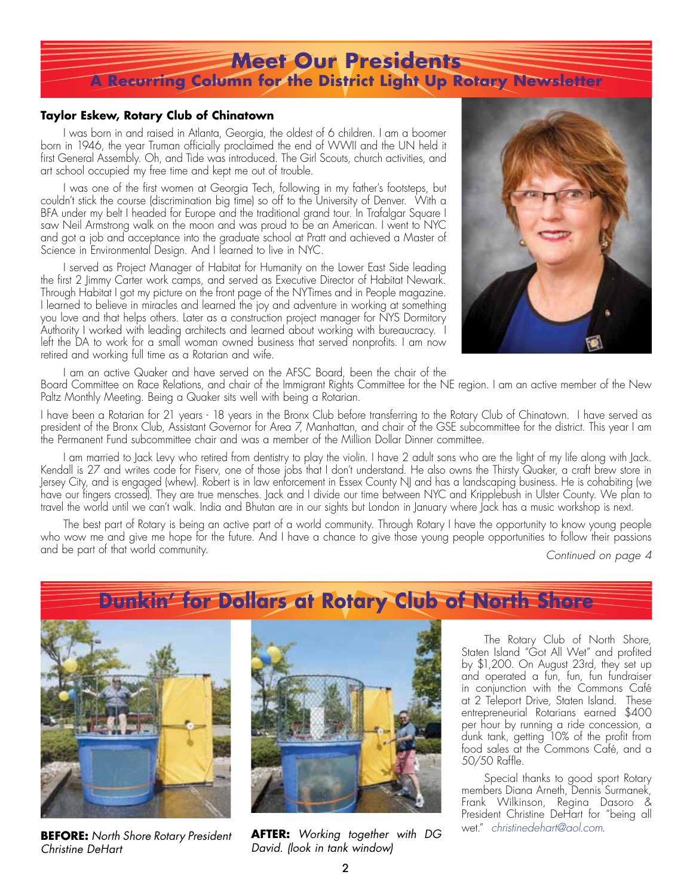### **Meet Our Presidents A Recurring Column for the District Light Up Rotary Newsletter**

#### **Taylor Eskew, Rotary Club of Chinatown**

I was born in and raised in Atlanta, Georgia, the oldest of 6 children. I am a boomer born in 1946, the year Truman officially proclaimed the end of WWII and the UN held it first General Assembly. Oh, and Tide was introduced. The Girl Scouts, church activities, and art school occupied my free time and kept me out of trouble.

I was one of the first women at Georgia Tech, following in my father's footsteps, but couldn't stick the course (discrimination big time) so off to the University of Denver. With a BFA under my belt I headed for Europe and the traditional grand tour. In Trafalgar Square I saw Neil Armstrong walk on the moon and was proud to be an American. I went to NYC and got a job and acceptance into the graduate school at Pratt and achieved a Master of Science in Environmental Design. And I learned to live in NYC.

I served as Project Manager of Habitat for Humanity on the Lower East Side leading the first 2 Jimmy Carter work camps, and served as Executive Director of Habitat Newark. Through Habitat I got my picture on the front page of the NYTimes and in People magazine. I learned to believe in miracles and learned the joy and adventure in working at something you love and that helps others. Later as a construction project manager for NYS Dormitory Authority I worked with leading architects and learned about working with bureaucracy. I left the DA to work for a small woman owned business that served nonprofits. I am now retired and working full time as a Rotarian and wife.



I am an active Quaker and have served on the AFSC Board, been the chair of the

Board Committee on Race Relations, and chair of the Immigrant Rights Committee for the NE region. I am an active member of the New Paltz Monthly Meeting. Being a Quaker sits well with being a Rotarian.

I have been a Rotarian for 21 years - 18 years in the Bronx Club before transferring to the Rotary Club of Chinatown. I have served as president of the Bronx Club, Assistant Governor for Area 7, Manhattan, and chair of the GSE subcommittee for the district. This year I am the Permanent Fund subcommittee chair and was a member of the Million Dollar Dinner committee.

I am married to Jack Levy who retired from dentistry to play the violin. I have 2 adult sons who are the light of my life along with Jack. Kendall is 27 and writes code for Fiserv, one of those jobs that I don't understand. He also owns the Thirsty Quaker, a craft brew store in Jersey City, and is engaged (whew). Robert is in law enforcement in Essex County NJ and has a landscaping business. He is cohabiting (we have our fingers crossed). They are true mensches. Jack and I divide our time between NYC and Kripplebush in Ulster County. We plan to travel the world until we can't walk. India and Bhutan are in our sights but London in January where Jack has a music workshop is next.

The best part of Rotary is being an active part of a world community. Through Rotary I have the opportunity to know young people who wow me and give me hope for the future. And I have a chance to give those young people opportunities to follow their passions and be part of that world community. *Continued on page 4*

### **Dunkin' for Dollars at Rotary Club of North Shore**



*Christine DeHart* 



wet." *christinedehart@aol.com*. **BEFORE:** *North Shore Rotary President*  **AFTER:** *Working together with DG David. (look in tank window)*

The Rotary Club of North Shore, Staten Island "Got All Wet" and profited by \$1,200. On August 23rd, they set up and operated a fun, fun, fun fundraiser in conjunction with the Commons Café at 2 Teleport Drive, Staten Island. These entrepreneurial Rotarians earned \$400 per hour by running a ride concession, a dunk tank, getting 10% of the profit from food sales at the Commons Café, and a 50/50 Raffle.

Special thanks to good sport Rotary members Diana Arneth, Dennis Surmanek, Frank Wilkinson, Regina Dasoro & President Christine DeHart for "being all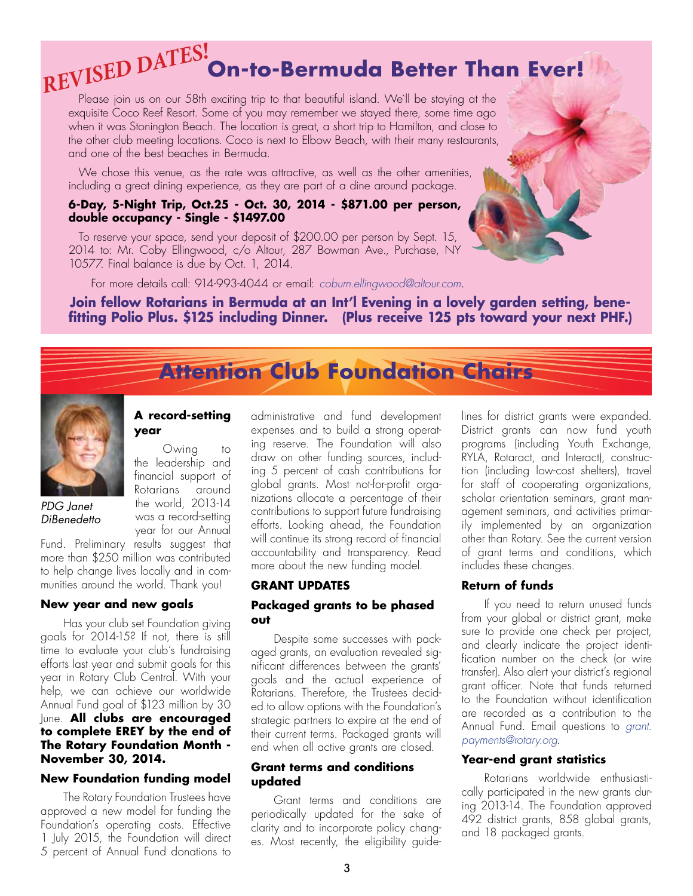# **On-to-Bermuda Better Than Ever!** *REVISED DATES!*

Please join us on our 58th exciting trip to that beautiful island. We'll be staying at the exquisite Coco Reef Resort. Some of you may remember we stayed there, some time ago when it was Stonington Beach. The location is great, a short trip to Hamilton, and close to the other club meeting locations. Coco is next to Elbow Beach, with their many restaurants, and one of the best beaches in Bermuda.

We chose this venue, as the rate was attractive, as well as the other amenities, including a great dining experience, as they are part of a dine around package.

#### **6-Day, 5-Night Trip, Oct.25 - Oct. 30, 2014 - \$871.00 per person, double occupancy - Single - \$1497.00**

To reserve your space, send your deposit of \$200.00 per person by Sept. 15, 2014 to: Mr. Coby Ellingwood, c/o Altour, 287 Bowman Ave., Purchase, NY 10577. Final balance is due by Oct. 1, 2014.

For more details call: 914-993-4044 or email: *coburn.ellingwood@altour.com*.

#### **Join fellow Rotarians in Bermuda at an Int'l Evening in a lovely garden setting, benefitting Polio Plus. \$125 including Dinner. (Plus receive 125 pts toward your next PHF.)**

## **Attention Club Foundation Chairs**



*PDG Janet DiBenedetto*

#### **A record-setting year**

Owing to the leadership and financial support of Rotarians around the world, 2013-14 was a record-setting year for our Annual

Fund. Preliminary results suggest that more than \$250 million was contributed to help change lives locally and in communities around the world. Thank you!

#### **New year and new goals**

Has your club set Foundation giving goals for 2014-15? If not, there is still time to evaluate your club's fundraising efforts last year and submit goals for this year in Rotary Club Central. With your help, we can achieve our worldwide Annual Fund goal of \$123 million by 30 June. **All clubs are encouraged to complete EREY by the end of The Rotary Foundation Month - November 30, 2014.**

#### **New Foundation funding model**

The Rotary Foundation Trustees have approved a new model for funding the Foundation's operating costs. Effective 1 July 2015, the Foundation will direct 5 percent of Annual Fund donations to administrative and fund development expenses and to build a strong operating reserve. The Foundation will also draw on other funding sources, including 5 percent of cash contributions for global grants. Most not-for-profit organizations allocate a percentage of their contributions to support future fundraising efforts. Looking ahead, the Foundation will continue its strong record of financial accountability and transparency. Read more about the new funding model.

#### **GRANT UPDATES**

#### **Packaged grants to be phased out**

Despite some successes with packaged grants, an evaluation revealed significant differences between the grants' goals and the actual experience of Rotarians. Therefore, the Trustees decided to allow options with the Foundation's strategic partners to expire at the end of their current terms. Packaged grants will end when all active grants are closed.

#### **Grant terms and conditions updated**

Grant terms and conditions are periodically updated for the sake of clarity and to incorporate policy changes. Most recently, the eligibility guidelines for district grants were expanded. District grants can now fund youth programs (including Youth Exchange, RYLA, Rotaract, and Interact), construction (including low-cost shelters), travel for staff of cooperating organizations, scholar orientation seminars, grant management seminars, and activities primarily implemented by an organization other than Rotary. See the current version of grant terms and conditions, which includes these changes.

#### **Return of funds**

If you need to return unused funds from your global or district grant, make sure to provide one check per project, and clearly indicate the project identification number on the check (or wire transfer). Also alert your district's regional grant officer. Note that funds returned to the Foundation without identification are recorded as a contribution to the Annual Fund. Email questions to *grant. payments@rotary.org*.

#### **Year-end grant statistics**

Rotarians worldwide enthusiastically participated in the new grants during 2013-14. The Foundation approved 492 district grants, 858 global grants, and 18 packaged grants.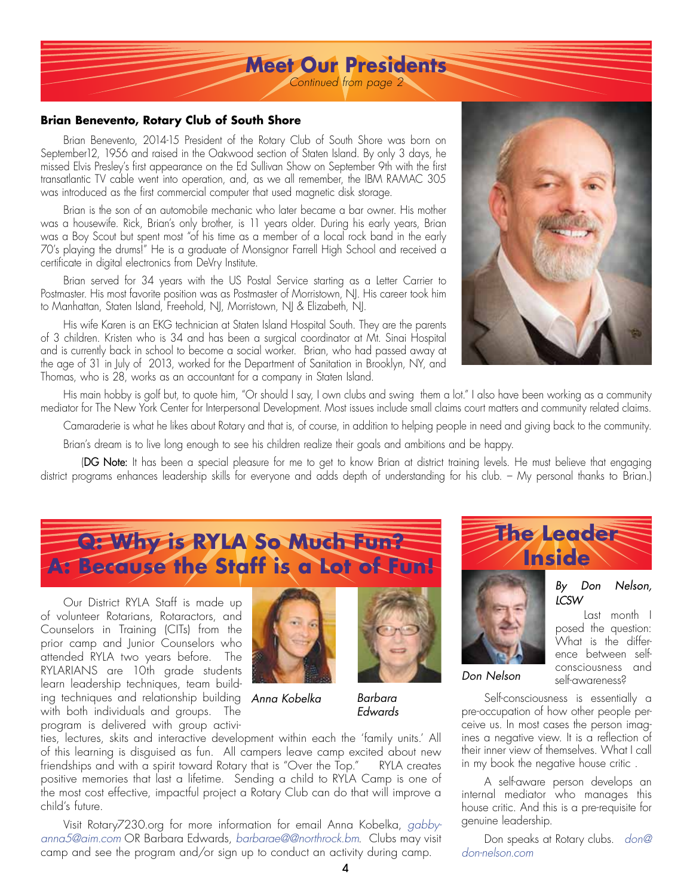## **Meet Our Presidents**

*Continued from page 2*

#### **Brian Benevento, Rotary Club of South Shore**

Brian Benevento, 2014-15 President of the Rotary Club of South Shore was born on September12, 1956 and raised in the Oakwood section of Staten Island. By only 3 days, he missed Elvis Presley's first appearance on the Ed Sullivan Show on September 9th with the first transatlantic TV cable went into operation, and, as we all remember, the IBM RAMAC 305 was introduced as the first commercial computer that used magnetic disk storage.

Brian is the son of an automobile mechanic who later became a bar owner. His mother was a housewife. Rick, Brian's only brother, is 11 years older. During his early years, Brian was a Boy Scout but spent most "of his time as a member of a local rock band in the early 70's playing the drums!" He is a graduate of Monsignor Farrell High School and received a certificate in digital electronics from DeVry Institute.

Brian served for 34 years with the US Postal Service starting as a Letter Carrier to Postmaster. His most favorite position was as Postmaster of Morristown, NJ. His career took him to Manhattan, Staten Island, Freehold, NJ, Morristown, NJ & Elizabeth, NJ.

His wife Karen is an EKG technician at Staten Island Hospital South. They are the parents of 3 children. Kristen who is 34 and has been a surgical coordinator at Mt. Sinai Hospital and is currently back in school to become a social worker. Brian, who had passed away at the age of 31 in July of 2013, worked for the Department of Sanitation in Brooklyn, NY, and Thomas, who is 28, works as an accountant for a company in Staten Island.



His main hobby is golf but, to quote him, "Or should I say, I own clubs and swing them a lot." I also have been working as a community mediator for The New York Center for Interpersonal Development. Most issues include small claims court matters and community related claims.

Camaraderie is what he likes about Rotary and that is, of course, in addition to helping people in need and giving back to the community.

Brian's dream is to live long enough to see his children realize their goals and ambitions and be happy.

(DG Note: It has been a special pleasure for me to get to know Brian at district training levels. He must believe that engaging district programs enhances leadership skills for everyone and adds depth of understanding for his club. – My personal thanks to Brian.)

## **Q: Why is RYLA So Much Fun? A: Because the Staff is a Lot of Fun!**

Our District RYLA Staff is made up of volunteer Rotarians, Rotaractors, and Counselors in Training (CITs) from the prior camp and Junior Counselors who attended RYLA two years before. The RYLARIANS are 10th grade students learn leadership techniques, team building techniques and relationship building *Anna Kobelka* with both individuals and groups. The program is delivered with group activi-





*Barbara Edwards*

ties, lectures, skits and interactive development within each the 'family units.' All of this learning is disguised as fun. All campers leave camp excited about new friendships and with a spirit toward Rotary that is "Over the Top." RYLA creates positive memories that last a lifetime. Sending a child to RYLA Camp is one of the most cost effective, impactful project a Rotary Club can do that will improve a child's future.

Visit Rotary7230.org for more information for email Anna Kobelka, *gabbyanna5@aim.com* OR Barbara Edwards, *barbarae@@northrock.bm*. Clubs may visit camp and see the program and/or sign up to conduct an activity during camp.



#### *By Don Nelson, LCSW*

Last month I posed the question: What is the difference between selfconsciousness and self-awareness?

Self-consciousness is essentially a pre-occupation of how other people perceive us. In most cases the person imagines a negative view. It is a reflection of their inner view of themselves. What I call in my book the negative house critic .

*Don Nelson*

A self-aware person develops an internal mediator who manages this house critic. And this is a pre-requisite for genuine leadership.

Don speaks at Rotary clubs. *don@ don-nelson.com*

4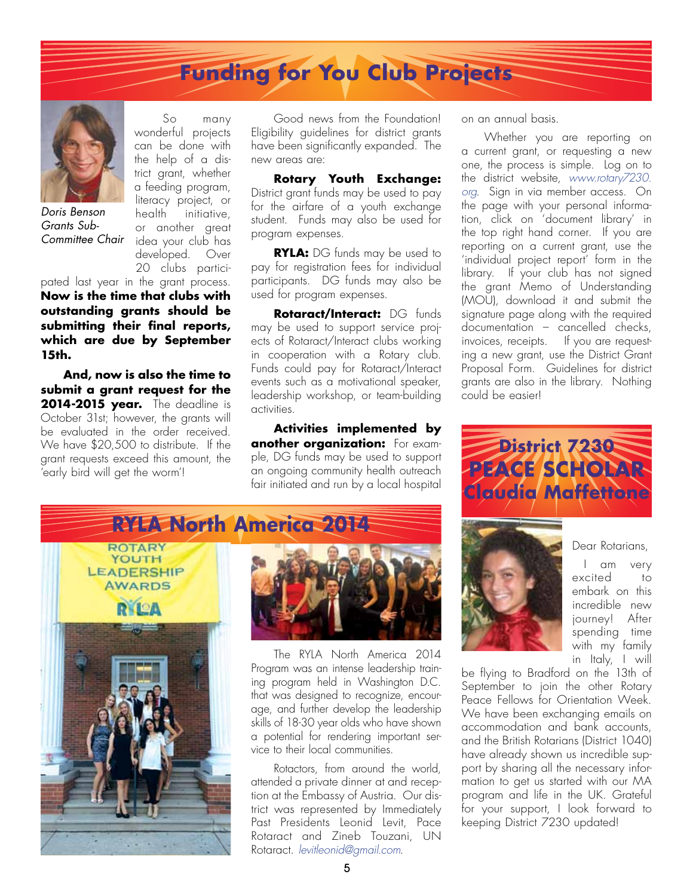# **Funding for You Club Projects**



*Doris Benson Grants Sub-Committee Chair*

So many wonderful projects can be done with the help of a district grant, whether a feeding program, literacy project, or health initiative, or another great idea your club has developed. Over 20 clubs participated last year in the grant process.

**Now is the time that clubs with outstanding grants should be submitting their final reports, which are due by September 15th.** 

**And, now is also the time to submit a grant request for the 2014-2015 year.** The deadline is October 31st; however, the grants will be evaluated in the order received. We have \$20,500 to distribute. If the grant requests exceed this amount, the 'early bird will get the worm'!

Good news from the Foundation! Eligibility guidelines for district grants have been significantly expanded. The new areas are:

**Rotary Youth Exchange:** District grant funds may be used to pay for the airfare of a youth exchange student. Funds may also be used for program expenses.

**RYLA:** DG funds may be used to pay for registration fees for individual participants. DG funds may also be used for program expenses.

**Rotaract/Interact:** DG funds may be used to support service projects of Rotaract/Interact clubs working in cooperation with a Rotary club. Funds could pay for Rotaract/Interact events such as a motivational speaker, leadership workshop, or team-building activities.

**Activities implemented by another organization:** For example, DG funds may be used to support an ongoing community health outreach fair initiated and run by a local hospital

on an annual basis.

Whether you are reporting on a current grant, or requesting a new one, the process is simple. Log on to the district website, *www.rotary7230. org*. Sign in via member access. On the page with your personal information, click on 'document library' in the top right hand corner. If you are reporting on a current grant, use the 'individual project report' form in the library. If your club has not signed the grant Memo of Understanding (MOU), download it and submit the signature page along with the required documentation – cancelled checks, invoices, receipts. If you are requesting a new grant, use the District Grant Proposal Form. Guidelines for district grants are also in the library. Nothing could be easier!







The RYLA North America 2014 Program was an intense leadership training program held in Washington D.C. that was designed to recognize, encourage, and further develop the leadership skills of 18-30 year olds who have shown a potential for rendering important service to their local communities.

Rotactors, from around the world, attended a private dinner at and reception at the Embassy of Austria. Our district was represented by Immediately Past Presidents Leonid Levit, Pace Rotaract and Zineb Touzani, UN Rotaract. *levitleonid@gmail.com*.



Dear Rotarians,

I am very excited to embark on this incredible new journey! After spending time with my family in Italy, I will

be flying to Bradford on the 13th of September to join the other Rotary Peace Fellows for Orientation Week. We have been exchanging emails on accommodation and bank accounts, and the British Rotarians (District 1040) have already shown us incredible support by sharing all the necessary information to get us started with our MA program and life in the UK. Grateful for your support, I look forward to keeping District 7230 updated!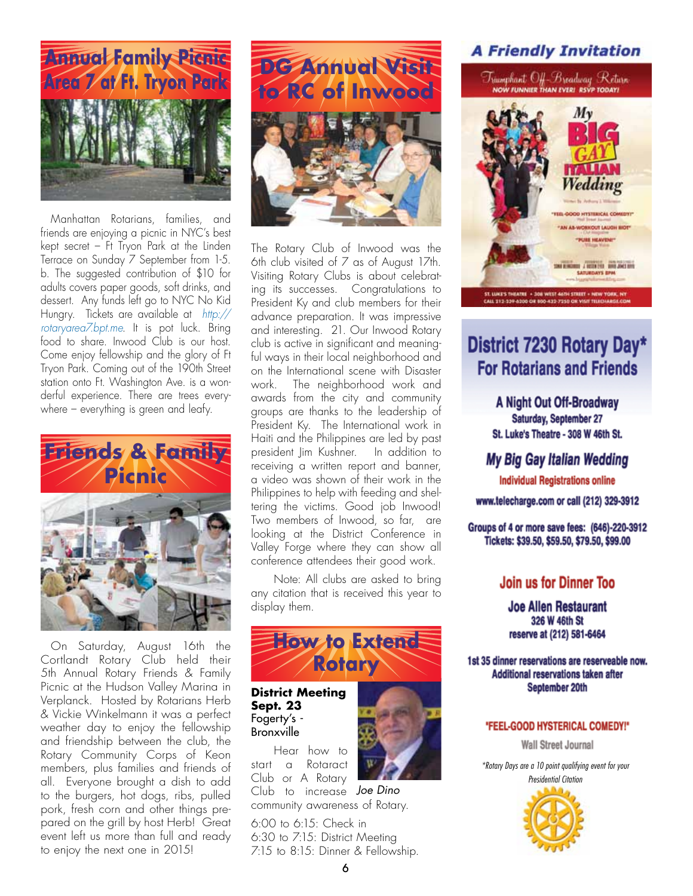

Manhattan Rotarians, families, and friends are enjoying a picnic in NYC's best kept secret – Ft Tryon Park at the Linden Terrace on Sunday 7 September from 1-5. b. The suggested contribution of \$10 for adults covers paper goods, soft drinks, and dessert. Any funds left go to NYC No Kid Hungry. Tickets are available at *http:// rotaryarea7.bpt.me*. It is pot luck. Bring food to share. Inwood Club is our host. Come enjoy fellowship and the glory of Ft Tryon Park. Coming out of the 190th Street station onto Ft. Washington Ave. is a wonderful experience. There are trees everywhere – everything is green and leafy.



On Saturday, August 16th the Cortlandt Rotary Club held their 5th Annual Rotary Friends & Family Picnic at the Hudson Valley Marina in Verplanck. Hosted by Rotarians Herb & Vickie Winkelmann it was a perfect weather day to enjoy the fellowship and friendship between the club, the Rotary Community Corps of Keon members, plus families and friends of all. Everyone brought a dish to add to the burgers, hot dogs, ribs, pulled pork, fresh corn and other things prepared on the grill by host Herb! Great event left us more than full and ready to enjoy the next one in 2015!



The Rotary Club of Inwood was the 6th club visited of 7 as of August 17th. Visiting Rotary Clubs is about celebrating its successes. Congratulations to President Ky and club members for their advance preparation. It was impressive and interesting. 21. Our Inwood Rotary club is active in significant and meaningful ways in their local neighborhood and on the International scene with Disaster work. The neighborhood work and awards from the city and community groups are thanks to the leadership of President Ky. The International work in Haiti and the Philippines are led by past president Jim Kushner. In addition to receiving a written report and banner, a video was shown of their work in the Philippines to help with feeding and sheltering the victims. Good job Inwood! Two members of Inwood, so far, are looking at the District Conference in Valley Forge where they can show all conference attendees their good work.

Note: All clubs are asked to bring any citation that is received this year to display them.



**District Meeting Sept. 23** Fogerty's - Bronxville

Hear how to start a Rotaract Club or A Rotary Club to increase *Joe Dino*

community awareness of Rotary.

6:00 to 6:15: Check in 6:30 to 7:15: District Meeting 7:15 to 8:15: Dinner & Fellowship.





**YOO HYSTERICAL COM** AS-WORKOUT LAUGH RIO **PUBE HEAVEN!** 

THE JANUARY SING JOIN BYS **SATURDAYS BPM** 

## District 7230 Rotary Day\* **For Rotarians and Friends**

CAIL 213-239-62

A Night Out Off-Broadway Saturday, September 27 St. Luke's Theatre - 308 W 46th St.

My Big Gay Italian Wedding

**Individual Registrations online** 

www.telecharge.com or call (212) 329-3912

Groups of 4 or more save fees: (646)-220-3912 Tickets: \$39.50, \$59.50, \$79.50, \$99.00

### Join us for Dinner Too

**Joe Allen Restaurant** 326 W 46th St reserve at (212) 581-6464

1st 35 dinner reservations are reserveable now. Additional reservations taken after September 20th

#### "FEEL-GOOD HYSTERICAL COMEDY!"

**Wall Street Journal** 

*\*Rotary Days are a 10 point qualifying event for your Presidential Citation*

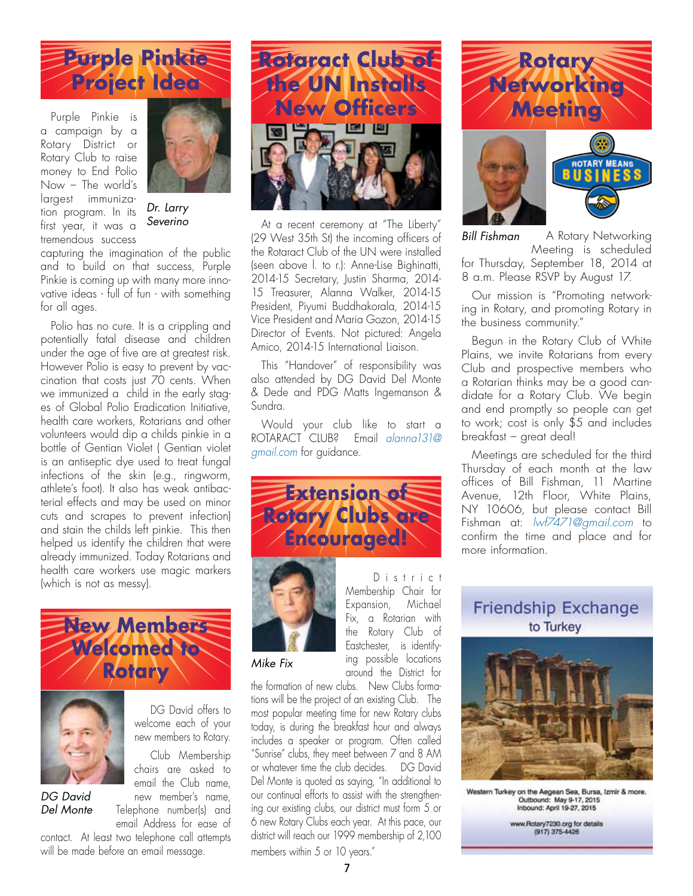

a campaign by a Rotary District or Rotary Club to raise money to End Polio Now – The world's largest immunization program. In its first year, it was a tremendous success



*Dr. Larry* 

capturing the imagination of the public and to build on that success, Purple Pinkie is coming up with many more innovative ideas - full of fun - with something for all ages.

Polio has no cure. It is a crippling and potentially fatal disease and children under the age of five are at greatest risk. However Polio is easy to prevent by vaccination that costs just 70 cents. When we immunized a child in the early stages of Global Polio Eradication Initiative, health care workers, Rotarians and other volunteers would dip a childs pinkie in a bottle of Gentian Violet ( Gentian violet is an antiseptic dye used to treat fungal infections of the skin (e.g., ringworm, athlete's foot). It also has weak antibacterial effects and may be used on minor cuts and scrapes to prevent infection) and stain the childs left pinkie. This then helped us identify the children that were already immunized. Today Rotarians and health care workers use magic markers (which is not as messy).





*DG David Del Monte*

DG David offers to welcome each of your new members to Rotary.

Club Membership chairs are asked to email the Club name, new member's name, Telephone number(s) and email Address for ease of

contact. At least two telephone call attempts will be made before an email message.



**Severino At a recent ceremony at "The Liberty"** (29 West 35th St) the incoming officers of the Rotaract Club of the UN were installed (seen above l. to r.): Anne-Lise Bighinatti, 2014-15 Secretary, Justin Sharma, 2014- 15 Treasurer, Alanna Walker, 2014-15 President, Piyumi Buddhakorala, 2014-15 Vice President and Maria Gozon, 2014-15 Director of Events. Not pictured: Angela Amico, 2014-15 International Liaison.

> This "Handover" of responsibility was also attended by DG David Del Monte & Dede and PDG Matts Ingemanson & Sundra.

> Would your club like to start a ROTARACT CLUB? Email *alanna131@ gmail.com* for guidance.





D i s t r i c t Membership Chair for Expansion, Michael Fix, a Rotarian with the Rotary Club of Eastchester, is identifying possible locations around the District for

#### *Mike Fix*

the formation of new clubs. New Clubs formations will be the project of an existing Club. The most popular meeting time for new Rotary clubs today, is during the breakfast hour and always includes a speaker or program. Often called "Sunrise" clubs, they meet between 7 and 8 AM or whatever time the club decides. DG David Del Monte is quoted as saying, "In additional to our continual efforts to assist with the strengthening our existing clubs, our district must form 5 or 6 new Rotary Clubs each year. At this pace, our district will reach our 1999 membership of 2,100 members within 5 or 10 years."



A Rotary Networking Meeting is scheduled for Thursday, September 18, 2014 at 8 a.m. Please RSVP by August 17. *Bill Fishman*

Our mission is "Promoting networking in Rotary, and promoting Rotary in the business community."

Begun in the Rotary Club of White Plains, we invite Rotarians from every Club and prospective members who a Rotarian thinks may be a good candidate for a Rotary Club. We begin and end promptly so people can get to work; cost is only \$5 and includes breakfast – great deal!

Meetings are scheduled for the third Thursday of each month at the law offices of Bill Fishman, 11 Martine Avenue, 12th Floor, White Plains, NY 10606, but please contact Bill Fishman at: *lwf7471@gmail.com* to confirm the time and place and for more information.

Friendship Exchange to Turkey



Western Turkey on the Aegean Sea, Bursa, Izmir & more.<br>Outbound: May 9-17, 2015<br>Inbound: April 19-27, 2015

www.Rotary7230.org for details<br>(917) 375-4426